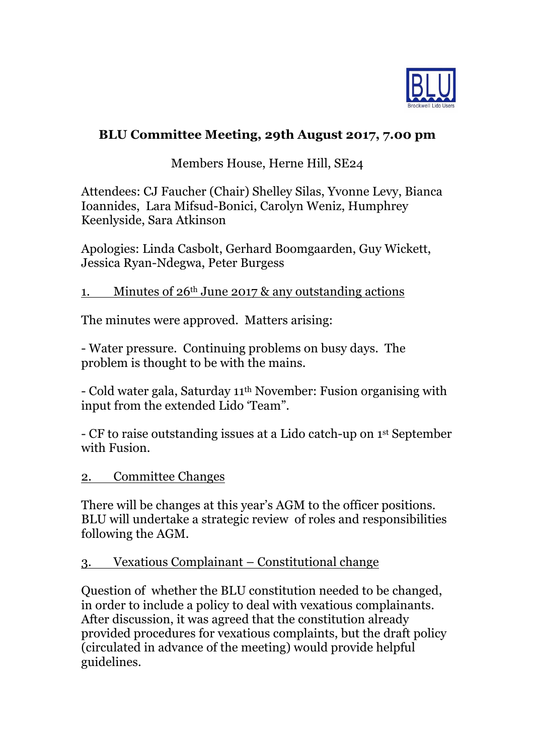

# **BLU Committee Meeting, 29th August 2017, 7.00 pm**

# Members House, Herne Hill, SE24

Attendees: CJ Faucher (Chair) Shelley Silas, Yvonne Levy, Bianca Ioannides, Lara Mifsud-Bonici, Carolyn Weniz, Humphrey Keenlyside, Sara Atkinson

Apologies: Linda Casbolt, Gerhard Boomgaarden, Guy Wickett, Jessica Ryan-Ndegwa, Peter Burgess

#### 1. Minutes of 26th June 2017 & any outstanding actions

The minutes were approved. Matters arising:

- Water pressure. Continuing problems on busy days. The problem is thought to be with the mains.

- Cold water gala, Saturday 11th November: Fusion organising with input from the extended Lido 'Team".

- CF to raise outstanding issues at a Lido catch-up on 1st September with Fusion.

#### 2. Committee Changes

There will be changes at this year's AGM to the officer positions. BLU will undertake a strategic review of roles and responsibilities following the AGM.

#### 3. Vexatious Complainant – Constitutional change

Question of whether the BLU constitution needed to be changed, in order to include a policy to deal with vexatious complainants. After discussion, it was agreed that the constitution already provided procedures for vexatious complaints, but the draft policy (circulated in advance of the meeting) would provide helpful guidelines.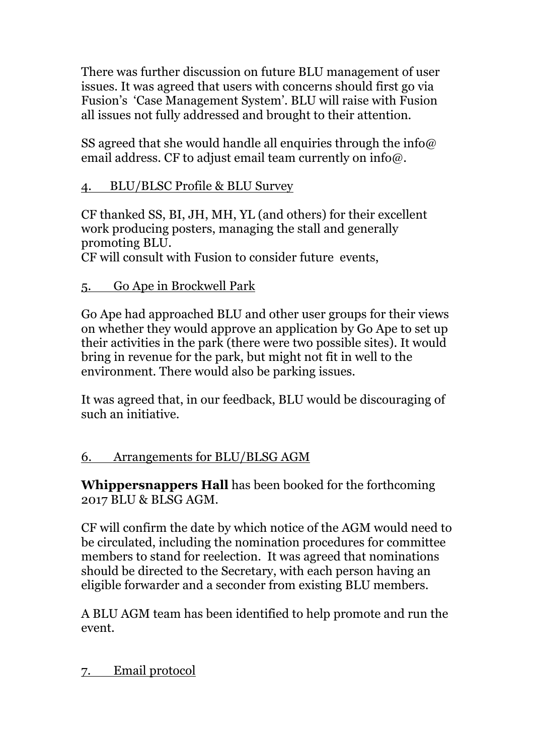There was further discussion on future BLU management of user issues. It was agreed that users with concerns should first go via Fusion's 'Case Management System'. BLU will raise with Fusion all issues not fully addressed and brought to their attention.

SS agreed that she would handle all enquiries through the info@ email address. CF to adjust email team currently on info $\omega$ .

## 4. BLU/BLSC Profile & BLU Survey

CF thanked SS, BI, JH, MH, YL (and others) for their excellent work producing posters, managing the stall and generally promoting BLU.

CF will consult with Fusion to consider future events,

#### 5. Go Ape in Brockwell Park

Go Ape had approached BLU and other user groups for their views on whether they would approve an application by Go Ape to set up their activities in the park (there were two possible sites). It would bring in revenue for the park, but might not fit in well to the environment. There would also be parking issues.

It was agreed that, in our feedback, BLU would be discouraging of such an initiative.

## 6. Arrangements for BLU/BLSG AGM

**Whippersnappers Hall** has been booked for the forthcoming 2017 BLU & BLSG AGM.

CF will confirm the date by which notice of the AGM would need to be circulated, including the nomination procedures for committee members to stand for reelection. It was agreed that nominations should be directed to the Secretary, with each person having an eligible forwarder and a seconder from existing BLU members.

A BLU AGM team has been identified to help promote and run the event.

#### 7. Email protocol